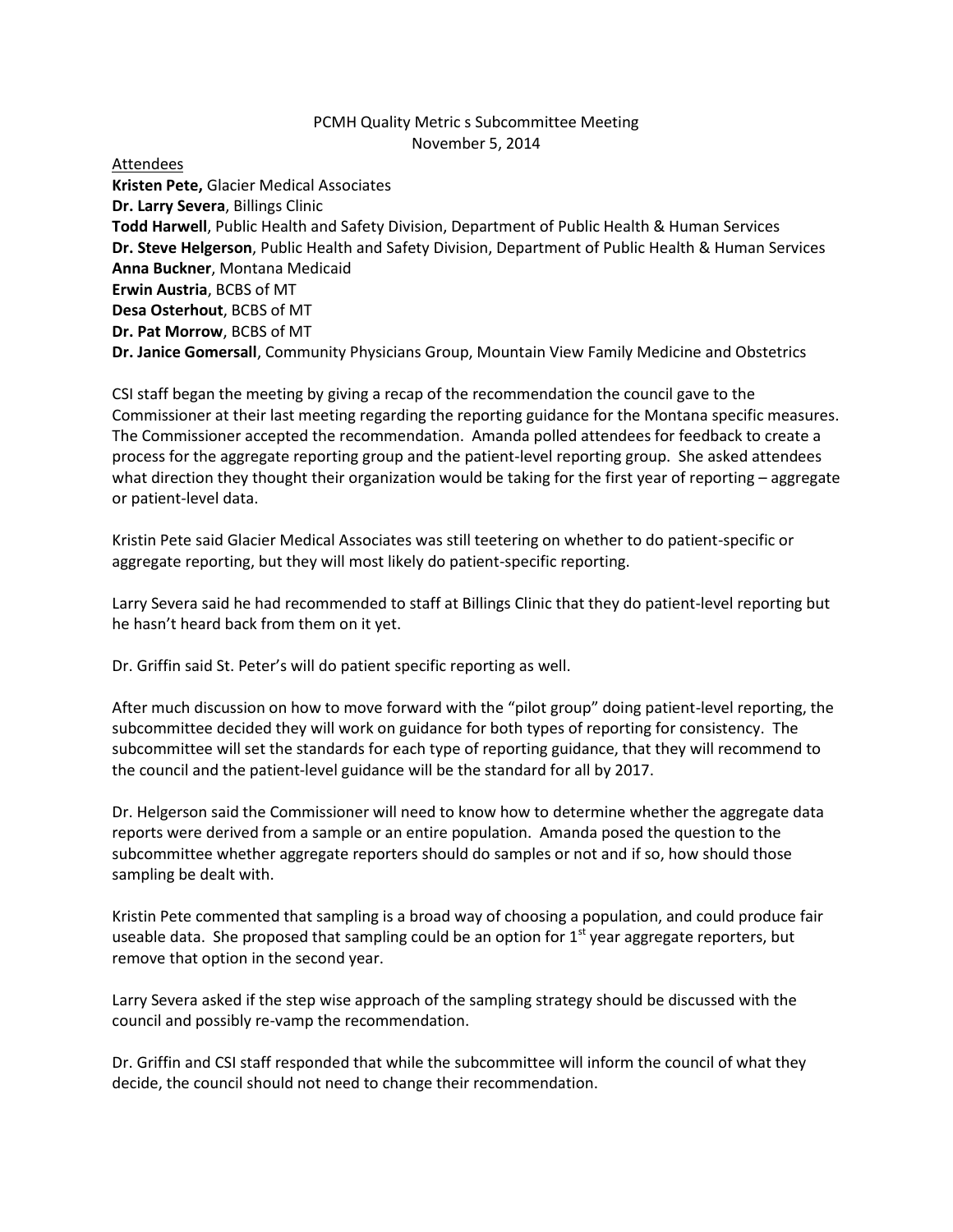## PCMH Quality Metric s Subcommittee Meeting November 5, 2014

Attendees

**Kristen Pete,** Glacier Medical Associates **Dr. Larry Severa**, Billings Clinic **Todd Harwell**, Public Health and Safety Division, Department of Public Health & Human Services **Dr. Steve Helgerson**, Public Health and Safety Division, Department of Public Health & Human Services **Anna Buckner**, Montana Medicaid **Erwin Austria**, BCBS of MT **Desa Osterhout**, BCBS of MT **Dr. Pat Morrow**, BCBS of MT **Dr. Janice Gomersall**, Community Physicians Group, Mountain View Family Medicine and Obstetrics

CSI staff began the meeting by giving a recap of the recommendation the council gave to the Commissioner at their last meeting regarding the reporting guidance for the Montana specific measures. The Commissioner accepted the recommendation. Amanda polled attendees for feedback to create a process for the aggregate reporting group and the patient-level reporting group. She asked attendees what direction they thought their organization would be taking for the first year of reporting – aggregate or patient-level data.

Kristin Pete said Glacier Medical Associates was still teetering on whether to do patient-specific or aggregate reporting, but they will most likely do patient-specific reporting.

Larry Severa said he had recommended to staff at Billings Clinic that they do patient-level reporting but he hasn't heard back from them on it yet.

Dr. Griffin said St. Peter's will do patient specific reporting as well.

After much discussion on how to move forward with the "pilot group" doing patient-level reporting, the subcommittee decided they will work on guidance for both types of reporting for consistency. The subcommittee will set the standards for each type of reporting guidance, that they will recommend to the council and the patient-level guidance will be the standard for all by 2017.

Dr. Helgerson said the Commissioner will need to know how to determine whether the aggregate data reports were derived from a sample or an entire population. Amanda posed the question to the subcommittee whether aggregate reporters should do samples or not and if so, how should those sampling be dealt with.

Kristin Pete commented that sampling is a broad way of choosing a population, and could produce fair useable data. She proposed that sampling could be an option for  $1<sup>st</sup>$  year aggregate reporters, but remove that option in the second year.

Larry Severa asked if the step wise approach of the sampling strategy should be discussed with the council and possibly re-vamp the recommendation.

Dr. Griffin and CSI staff responded that while the subcommittee will inform the council of what they decide, the council should not need to change their recommendation.